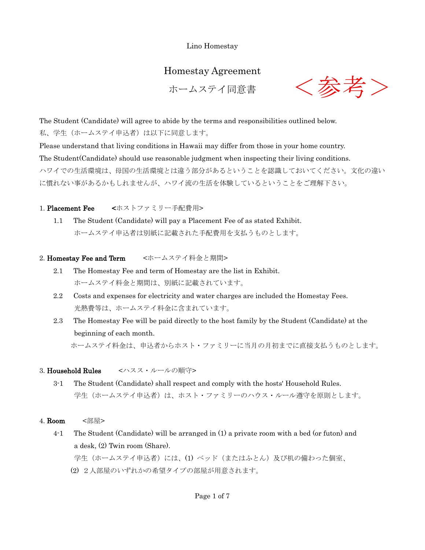Lino Homestay

# Homestay Agreement

ホームステイ同意書



The Student (Candidate) will agree to abide by the terms and responsibilities outlined below. 私、学生(ホームステイ申込者)は以下に同意します。

Please understand that living conditions in Hawaii may differ from those in your home country. The Student(Candidate) should use reasonable judgment when inspecting their living conditions. ハワイでの生活環境は、母国の生活環境とは違う部分があるということを認識しておいてください。文化の違い に慣れない事があるかもしれませんが、ハワイ流の生活を体験しているということをご理解下さい。

1. Placement Fee <ホストファミリー手配費用>

 1.1 The Student (Candidate) will pay a Placement Fee of as stated Exhibit. ホームステイ申込者は別紙に記載された手配費用を支払うものとします。

# 2. Homestay Fee and Term <ホームステイ料金と期間>

- 2.1 The Homestay Fee and term of Homestay are the list in Exhibit. ホームステイ料金と期間は、別紙に記載されています。
- 2.2 Costs and expenses for electricity and water charges are included the Homestay Fees. 光熱費等は、ホームステイ料金に含まれています。
- 2.3 The Homestay Fee will be paid directly to the host family by the Student (Candidate) at the beginning of each month. ホームステイ料金は、申込者からホスト・ファミリーに当月の月初までに直接支払うものとします。

# 3. Household Rules <ハスス・ルールの順守>

- 3-1 The Student (Candidate) shall respect and comply with the hosts' Household Rules. 学生(ホームステイ申込者)は、ホスト・ファミリーのハウス・ルール遵守を原則とします。
- 4. **Room** <部屋>
	- 4-1 The Student (Candidate) will be arranged in (1) a private room with a bed (or futon) and a desk, (2) Twin room (Share). 学生(ホームステイ申込者)には、(1)ベッド(またはふとん)及び机の備わった個室、
		- (2) 2人部屋のいずれかの希望タイプの部屋が用意されます。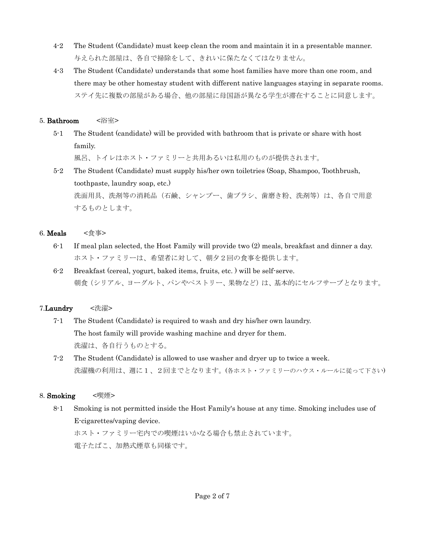- 4-2 The Student (Candidate) must keep clean the room and maintain it in a presentable manner. 与えられた部屋は、各自で掃除をして、きれいに保たなくてはなりません。
- 4-3 The Student (Candidate) understands that some host families have more than one room, and there may be other homestay student with different native languages staying in separate rooms. ステイ先に複数の部屋がある場合、他の部屋に母国語が異なる学生が滞在することに同意します。

#### 5. Bathroom <浴室>

5-1 The Student (candidate) will be provided with bathroom that is private or share with host family.

風呂、トイレはホスト・ファミリーと共用あるいは私用のものが提供されます。

5-2 The Student (Candidate) must supply his/her own toiletries (Soap, Shampoo, Toothbrush, toothpaste, laundry soap, etc.) 洗面用具、洗剤等の消耗品(石鹸、シャンプー、歯ブラシ、歯磨き粉、洗剤等)は、各自で用意 するものとします。

## 6. **Meals** <食事>

- 6-1 If meal plan selected, the Host Family will provide two (2) meals, breakfast and dinner a day. ホスト・ファミリーは、希望者に対して、朝夕2回の食事を提供します。
- 6-2 Breakfast (cereal, yogurt, baked items, fruits, etc. ) will be self-serve. 朝食(シリアル、ヨーグルト、パンやペストリー、果物など)は、基本的にセルフサーブとなります。

# 7.Laundry <洗濯>

- 7-1 The Student (Candidate) is required to wash and dry his/her own laundry. The host family will provide washing machine and dryer for them. 洗濯は、各自行うものとする。
- 7-2 The Student (Candidate) is allowed to use washer and dryer up to twice a week. 洗濯機の利用は、週に1、2回までとなります。(各ホスト・ファミリーのハウス・ルールに従って下さい)

# 8. Smoking <喫煙>

8-1 Smoking is not permitted inside the Host Family's house at any time. Smoking includes use of E-cigarettes/vaping device.

ホスト・ファミリー宅内での喫煙はいかなる場合も禁止されています。 電子たばこ、加熱式煙草も同様です。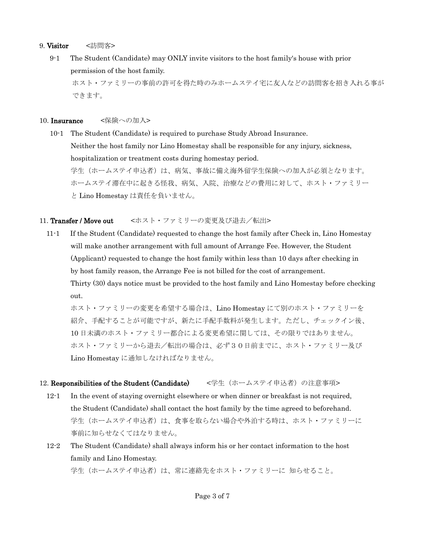#### 9. Visitor <訪問客>

9-1 The Student (Candidate) may ONLY invite visitors to the host family's house with prior permission of the host family.

ホスト・ファミリーの事前の許可を得た時のみホームステイ宅に友人などの訪問客を招き入れる事が できます。

#### 10. Insurance <保険への加入>

10-1 The Student (Candidate) is required to purchase Study Abroad Insurance. Neither the host family nor Lino Homestay shall be responsible for any injury, sickness, hospitalization or treatment costs during homestay period. 学生(ホームステイ申込者)は、病気、事故に備え海外留学生保険への加入が必須となります。 ホームステイ滞在中に起きる怪我、病気、入院、治療などの費用に対して、ホスト・ファミリー と Lino Homestay は責任を負いません。

## 11. Transfer / Move out <ホスト・ファミリーの変更及び退去/転出>

11-1 If the Student (Candidate) requested to change the host family after Check in, Lino Homestay will make another arrangement with full amount of Arrange Fee. However, the Student (Applicant) requested to change the host family within less than 10 days after checking in by host family reason, the Arrange Fee is not billed for the cost of arrangement. Thirty (30) days notice must be provided to the host family and Lino Homestay before checking out.

ホスト・ファミリーの変更を希望する場合は、Lino Homestay にて別のホスト・ファミリーを 紹介、手配することが可能ですが、新たに手配手数料が発生します。ただし、チェックイン後、 10 日未満のホスト・ファミリー都合による変更希望に関しては、その限りではありません。 ホスト・ファミリーから退去/転出の場合は、必ず30日前までに、ホスト・ファミリー及び Lino Homestay に通知しなければなりません。

# 12. Responsibilities of the Student (Candidate) <学生(ホームステイ申込者)の注意事項>

- 12-1 In the event of staying overnight elsewhere or when dinner or breakfast is not required, the Student (Candidate) shall contact the host family by the time agreed to beforehand. 学生(ホームステイ申込者)は、食事を取らない場合や外泊する時は、ホスト・ファミリーに 事前に知らせなくてはなりません。
- 12-2 The Student (Candidate) shall always inform his or her contact information to the host family and Lino Homestay.

学生(ホームステイ申込者)は、常に連絡先をホスト・ファミリーに 知らせること。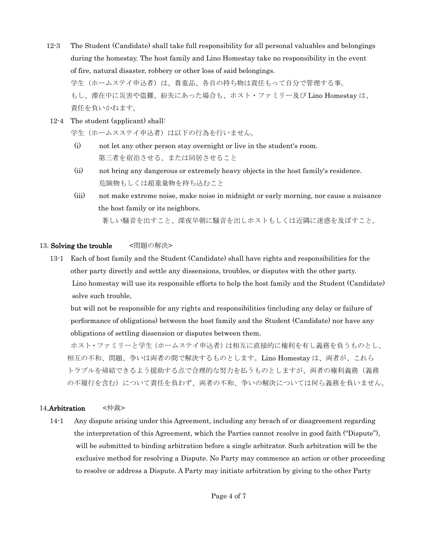- 12-3 The Student (Candidate) shall take full responsibility for all personal valuables and belongings during the homestay. The host family and Lino Homestay take no responsibility in the event of fire, natural disaster, robbery or other loss of said belongings. 学生(ホームステイ申込者)は、貴重品、各自の持ち物は責任もって自分で管理する事。 もし、滞在中に災害や盗難、紛失にあった場合も、ホスト・ファミリー及び Lino Homestay は、 責任を負いかねます。
- 12-4 The student (applicant) shall:

学生(ホームスステイ申込者)は以下の行為を行いません。

- (i) not let any other person stay overnight or live in the student's room. 第三者を宿泊させる、または同居させること
- (ii) not bring any dangerous or extremely heavy objects in the host family's residence. 危険物もしくは超重量物を持ち込むこと
- (iii) not make extreme noise, make noise in midnight or early morning, nor cause a nuisance the host family or its neighbors. 著しい騒音を出すこと、深夜早朝に騒音を出しホストもしくは近隣に迷惑を及ぼすこと。

#### 13. Solving the trouble <問題の解決>

13-1 Each of host family and the Student (Candidate) shall have rights and responsibilities for the other party directly and settle any dissensions, troubles, or disputes with the other party. Lino homestay will use its responsible efforts to help the host family and the Student (Candidate) solve such trouble,

but will not be responsible for any rights and responsibilities (including any delay or failure of performance of obligations) between the host family and the Student (Candidate) nor have any obligations of settling dissension or disputes between them.

ホスト・ファミリーと学生(ホームステイ申込者)は相互に直接的に権利を有し義務を負うものとし、 相互の不和、問題、争いは両者の間で解決するものとします。Lino Homestay は、両者が、これら トラブルを帰結できるよう援助する点で合理的な努力を払うものとしますが、両者の権利義務(義務 の不履行を含む)について責任を負わず、両者の不和、争いの解決については何ら義務を負いません。

#### 14.Arbitration <仲裁>

14-1 Any dispute arising under this Agreement, including any breach of or disagreement regarding the interpretation of this Agreement, which the Parties cannot resolve in good faith ("Dispute"), will be submitted to binding arbitration before a single arbitrator. Such arbitration will be the exclusive method for resolving a Dispute. No Party may commence an action or other proceeding to resolve or address a Dispute. A Party may initiate arbitration by giving to the other Party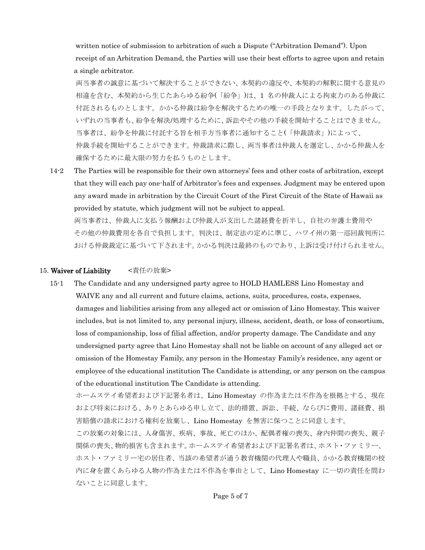written notice of submission to arbitration of such a Dispute ("Arbitration Demand"). Upon receipt of an Arbitration Demand, the Parties will use their best efforts to agree upon and retain a single arbitrator.

両当事者の誠意に基づいて解決することができない、本契約の違反や、本契約の解釈に関する意見の 相違を含む、本契約から生じたあらゆる紛争(「紛争」)は、1 名の仲裁人による拘束力のある仲裁に 付託されるものとします。かかる仲裁は紛争を解決するための唯一の手段となります。したがって、 いずれの当事者も、紛争を解決/処理するために、訴訟やその他の手続を開始することはできません。 当事者は、紛争を仲裁に付託する旨を相手方当事者に通知すること(「仲裁請求」)によって、 仲裁手続を開始することができます。仲裁請求に際し、両当事者は仲裁人を選定し、かかる仲裁人を 確保するために最大限の努力を払うものとします。

14-2 The Parties will be responsible for their own attorneys' fees and other costs of arbitration, except that they will each pay one-half of Arbitrator's fees and expenses. Judgment may be entered upon any award made in arbitration by the Circuit Court of the First Circuit of the State of Hawaii as provided by statute, which judgment will not be subject to appeal.

両当事者は、仲裁人に支払う報酬および仲裁人が支出した諸経費を折半し、自社の弁護士費用や その他の仲裁費用を各自で負担します。判決は、制定法の定めに準じ、ハワイ州の第一巡回裁判所に おける仲裁裁定に基づいて下されます。かかる判決は最終のものであり、上訴は受け付けられません。

#### 15. Waiver of Liability <責任の放棄>

15-1 The Candidate and any undersigned party agree to HOLD HAMLESS Lino Homestay and WAIVE any and all current and future claims, actions, suits, procedures, costs, expenses, damages and liabilities arising from any alleged act or omission of Lino Homestay. This waiver includes, but is not limited to, any personal injury, illness, accident, death, or loss of consortium, loss of companionship, loss of filial affection, and/or property damage. The Candidate and any undersigned party agree that Lino Homestay shall not be liable on account of any alleged act or omission of the Homestay Family, any person in the Homestay Family's residence, any agent or employee of the educational institution The Candidate is attending, or any person on the campus of the educational institution The Candidate is attending.

ホームステイ希望者および下記署名者は、Lino Homestay の作為または不作為を根拠とする、現在 および将来における、ありとあらゆる申し立て、法的措置、訴訟、手続、ならびに費用、諸経費、損 害賠償の請求における権利を放棄し、Lino Homestay を無害に保つことに同意します。

この放棄の対象には、人身傷害、疾病、事故、死亡のほか、配偶者権の喪失、身内仲間の喪失、親子 関係の喪失、物的損害も含まれます。ホームステイ希望者および下記署名者は、ホスト・ファミリー、 ホスト・ファミリー宅の居住者、当該の希望者が通う教育機関の代理人や職員、かかる教育機関の校 内に身を置くあらゆる人物の作為または不作為を事由として、Lino Homestay に一切の責任を問わ ないことに同意します。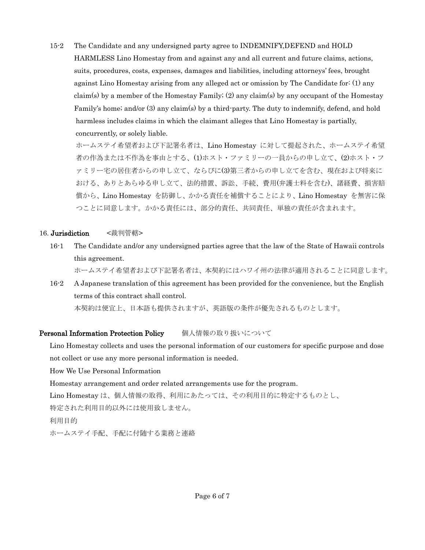15-2 The Candidate and any undersigned party agree to INDEMNIFY,DEFEND and HOLD HARMLESS Lino Homestay from and against any and all current and future claims, actions, suits, procedures, costs, expenses, damages and liabilities, including attorneys' fees, brought against Lino Homestay arising from any alleged act or omission by The Candidate for: (1) any claim(s) by a member of the Homestay Family; (2) any claim(s) by any occupant of the Homestay Family's home; and/or (3) any claim(s) by a third-party. The duty to indemnify, defend, and hold harmless includes claims in which the claimant alleges that Lino Homestay is partially, concurrently, or solely liable.

ホームステイ希望者および下記署名者は、Lino Homestay に対して提起された、ホームステイ希望 者の作為または不作為を事由とする、(1)ホスト・ファミリーの一員からの申し立て、(2)ホスト・フ ァミリー宅の居住者からの申し立て、ならびに(3)第三者からの申し立てを含む、現在および将来に おける、ありとあらゆる申し立て、法的措置、訴訟、手続、費用(弁護士料を含む)、諸経費、損害賠 償から、Lino Homestay を防御し、かかる責任を補償することにより、Lino Homestay を無害に保 つことに同意します。かかる責任には、部分的責任、共同責任、単独の責任が含まれます。

#### 16. Jurisdiction <裁判管轄>

16-1 The Candidate and/or any undersigned parties agree that the law of the State of Hawaii controls this agreement.

ホームステイ希望者および下記署名者は、本契約にはハワイ州の法律が適用されることに同意します。

16-2 A Japanese translation of this agreement has been provided for the convenience, but the English terms of this contract shall control.

本契約は便宜上、日本語も提供されますが、英語版の条件が優先されるものとします。

#### Personal Information Protection Policy 個人情報の取り扱いについて

Lino Homestay collects and uses the personal information of our customers for specific purpose and dose not collect or use any more personal information is needed.

How We Use Personal Information

Homestay arrangement and order related arrangements use for the program.

Lino Homestay は、個人情報の取得、利用にあたっては、その利用目的に特定するものとし、

特定された利用目的以外には使用致しません。

利用目的

ホームステイ手配、手配に付随する業務と連絡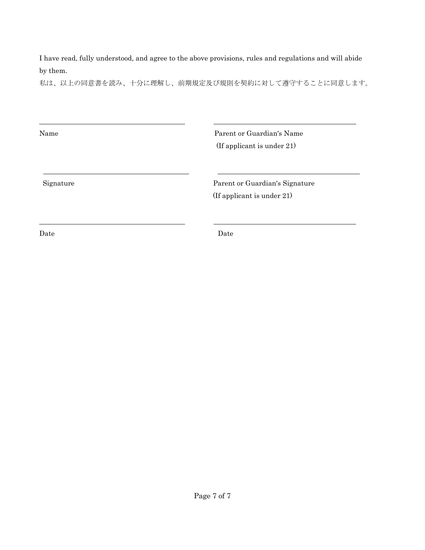I have read, fully understood, and agree to the above provisions, rules and regulations and will abide by them.

私は、以上の同意書を読み、十分に理解し、前期規定及び規則を契約に対して遵守することに同意します。

| Name      | Parent or Guardian's Name<br>(If applicant is under 21)      |
|-----------|--------------------------------------------------------------|
| Signature | Parent or Guardian's Signature<br>(If applicant is under 21) |
| Date      | Date                                                         |